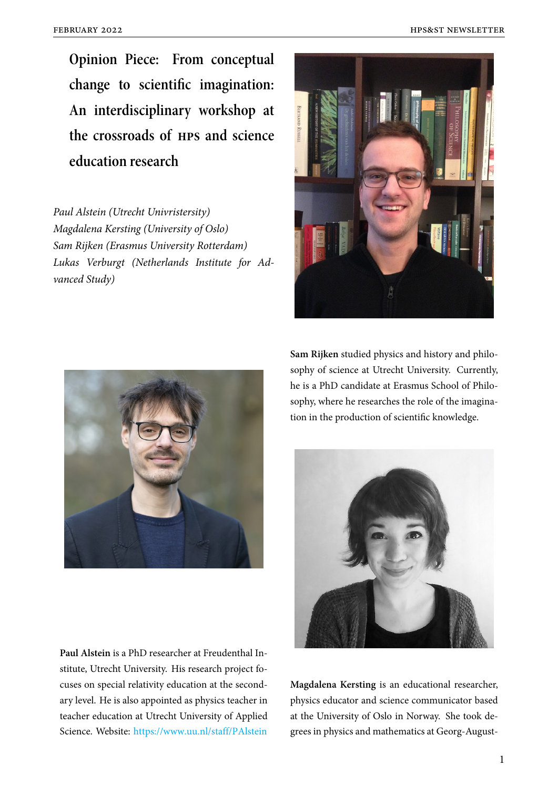**Opinion Piece: From conceptual change to scientific imagination: An interdisciplinary workshop at the crossroads of hps and science education research**

*Paul Alstein (Utrecht Univristersity) Magdalena Kersting (University of Oslo) Sam Rijken (Erasmus University Rotterdam) Lukas Verburgt (Netherlands Institute for Advanced Study)*





**Paul Alstein** is a PhD researcher at Freudenthal Institute, Utrecht University. His research project focuses on special relativity education at the secondary level. He is also appointed as physics teacher in teacher education at Utrecht University of Applied Science. Website: https://www.uu.nl/staff/PAlstein

**Sam Rijken** studied physics and history and philosophy of science at Utrecht University. Currently, he is a PhD candidate at Erasmus School of Philosophy, where he researches the role of the imagination in the production of scientific knowledge.



**Magdalena Kersting** is an educational researcher, physics educator and science communicator based at the University of Oslo in Norway. She took degrees in physics and mathematics at Georg-August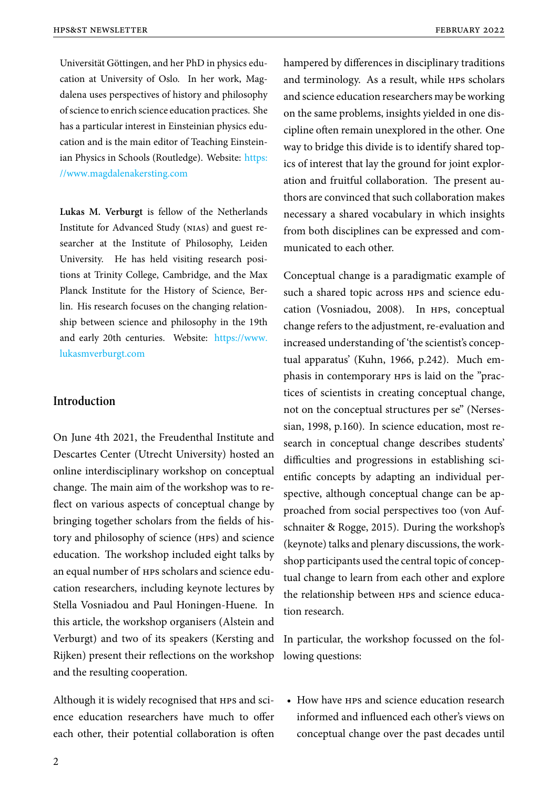Universität Göttingen, and her PhD in physics education at University of Oslo. In her work, Magdalena uses perspectives of history and philosophy of science to enrich science education practices. She has a particular interest in Einsteinian physics education and is the main editor of Teaching Einsteinian Physics in Schools (Routledge). Website: https: //www.magdalenakersting.com

**Lukas M. Verburgt** is fellow of the Nethe[rlands](https://www.magdalenakersting.com) [Institute for Advanced Study \(n](https://www.magdalenakersting.com)ias) and guest researcher at the Institute of Philosophy, Leiden University. He has held visiting research positions at Trinity College, Cambridge, and the Max Planck Institute for the History of Science, Berlin. His research focuses on the changing relationship between science and philosophy in the 19th and early 20th centuries. Website: https://www. lukasmverburgt.com

### **I[ntroduction](https://www.lukasmverburgt.com)**

On June 4th 2021, the Freudenthal Institute and Descartes Center (Utrecht University) hosted an online interdisciplinary workshop on conceptual change. The main aim of the workshop was to reflect on various aspects of conceptual change by bringing together scholars from the fields of history and philosophy of science (hps) and science education. The workshop included eight talks by an equal number of hps scholars and science education researchers, including keynote lectures by Stella Vosniadou and Paul Honingen-Huene. In this article, the workshop organisers (Alstein and Verburgt) and two of its speakers (Kersting and Rijken) present their reflections on the workshop and the resulting cooperation.

Although it is widely recognised that HPS and science education researchers have much to offer each other, their potential collaboration is often hampered by differences in disciplinary traditions and terminology. As a result, while hps scholars and science education researchers may be working on the same problems, insights yielded in one discipline often remain unexplored in the other. One way to bridge this divide is to identify shared topics of interest that lay the ground for joint exploration and fruitful collaboration. The present authors are convinced that such collaboration makes necessary a shared vocabulary in which insights from both disciplines can be expressed and communicated to each other.

Conceptual change is a paradigmatic example of such a shared topic across hps and science education (Vosniadou, 2008). In hps, conceptual change refers to the adjustment, re-evaluation and increased understanding of 'the scientist's conceptual apparatus' (Kuhn, 1966, p.242). Much emphasis in contemporary hps is laid on the "practices of scientists in creating conceptual change, not on the conceptual structures per se" (Nersessian, 1998, p.160). In science education, most research in conceptual change describes students' difficulties and progressions in establishing scientific concepts by adapting an individual perspective, although conceptual change can be approached from social perspectives too (von Aufschnaiter & Rogge, 2015). During the workshop's (keynote) talks and plenary discussions, the workshop participants used the central topic of conceptual change to learn from each other and explore the relationship between hps and science education research.

In particular, the workshop focussed on the following questions:

• How have HPS and science education research informed and influenced each other's views on conceptual change over the past decades until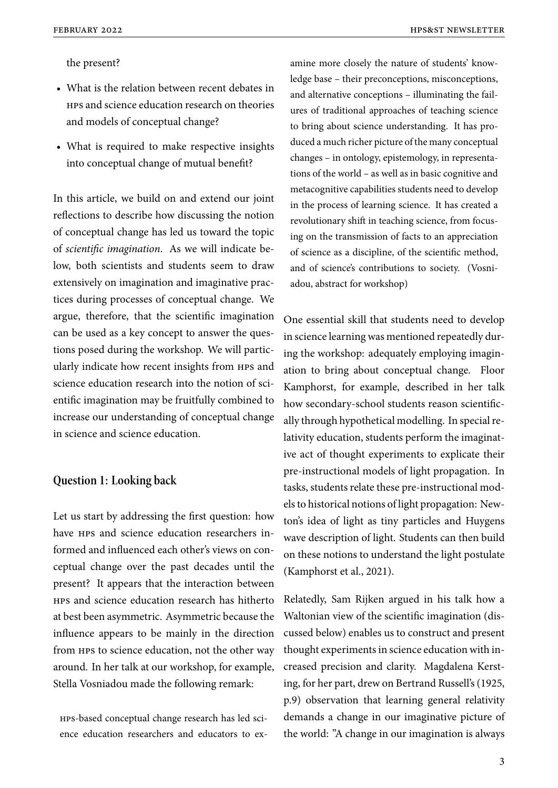the present?

- What is the relation between recent debates in hps and science education research on theories and models of conceptual change?
- What is required to make respective insights into conceptual change of mutual benefit?

In this article, we build on and extend our joint reflections to describe how discussing the notion of conceptual change has led us toward the topic of *scientific imagination*. As we will indicate below, both scientists and students seem to draw extensively on imagination and imaginative practices during processes of conceptual change. We argue, therefore, that the scientific imagination can be used as a key concept to answer the questions posed during the workshop. We will particularly indicate how recent insights from hps and science education research into the notion of scientific imagination may be fruitfully combined to increase our understanding of conceptual change in science and science education.

#### **Question 1: Looking back**

Let us start by addressing the first question: how have HPS and science education researchers informed and influenced each other's views on conceptual change over the past decades until the present? It appears that the interaction between hps and science education research has hitherto at best been asymmetric. Asymmetric because the influence appears to be mainly in the direction from hps to science education, not the other way around. In her talk at our workshop, for example, Stella Vosniadou made the following remark:

hps-based conceptual change research has led science education researchers and educators to examine more closely the nature of students' knowledge base – their preconceptions, misconceptions, and alternative conceptions – illuminating the failures of traditional approaches of teaching science to bring about science understanding. It has produced a much richer picture of the many conceptual changes – in ontology, epistemology, in representations of the world – as well as in basic cognitive and metacognitive capabilities students need to develop in the process of learning science. It has created a revolutionary shift in teaching science, from focusing on the transmission of facts to an appreciation of science as a discipline, of the scientific method, and of science's contributions to society. (Vosniadou, abstract for workshop)

One essential skill that students need to develop in science learning was mentioned repeatedly during the workshop: adequately employing imagination to bring about conceptual change. Floor Kamphorst, for example, described in her talk how secondary-school students reason scientifically through hypothetical modelling. In special relativity education, students perform the imaginative act of thought experiments to explicate their pre-instructional models of light propagation. In tasks, students relate these pre-instructional models to historical notions of light propagation: Newton's idea of light as tiny particles and Huygens wave description of light. Students can then build on these notions to understand the light postulate (Kamphorst et al., 2021).

Relatedly, Sam Rijken argued in his talk how a Waltonian view of the scientific imagination (discussed below) enables us to construct and present thought experiments in science education with increased precision and clarity. Magdalena Kersting, for her part, drew on Bertrand Russell's (1925, p.9) observation that learning general relativity demands a change in our imaginative picture of the world: "A change in our imagination is always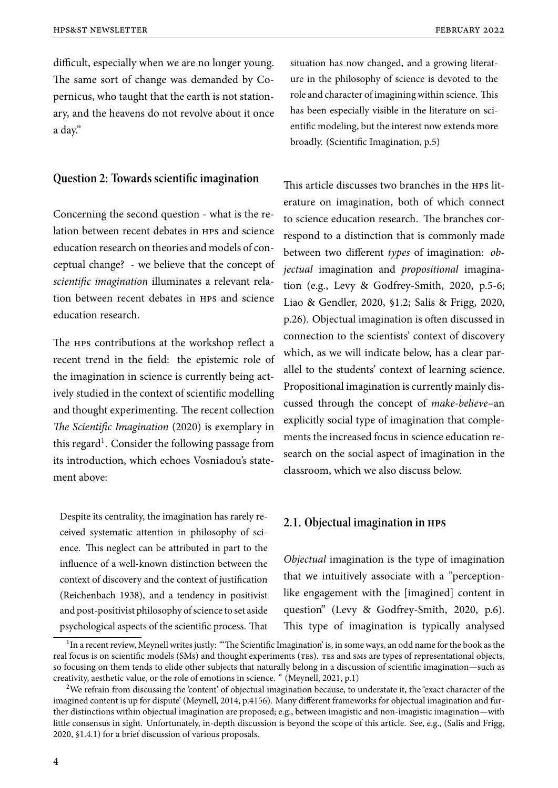difficult, especially when we are no longer young. The same sort of change was demanded by Copernicus, who taught that the earth is not stationary, and the heavens do not revolve about it once a day."

# **Question 2: Towards scientific imagination**

Concerning the second question - what is the relation between recent debates in hps and science education research on theories and models of conceptual change? - we believe that the concept of *scientific imagination* illuminates a relevant relation between recent debates in hps and science education research.

The HPS contributions at the workshop reflect a recent trend in the field: the epistemic role of the imagination in science is currently being actively studied in the context of scientific modelling and thought experimenting. The recent collection *The Scientific Imagination* (2020) is exemplary in this regard<sup>1</sup>. Consider the following passage from its introduction, which echoes Vosniadou's statement above:

Despite its centrality, the imagination has rarely received systematic attention in philosophy of science. This neglect can be attributed in part to the influence of a well-known distinction between the context of discovery and the context of justification (Reichenbach 1938), and a tendency in positivist and post-positivist philosophy of science to set aside psychological aspects of the scientific process. That

situation has now changed, and a growing literature in the philosophy of science is devoted to the role and character of imagining within science. This has been especially visible in the literature on scientific modeling, but the interest now extends more broadly. (Scientific Imagination, p.5)

This article discusses two branches in the hps literature on imagination, both of which connect to science education research. The branches correspond to a distinction that is commonly made between two different *types* of imagination: *objectual* imagination and *propositional* imagination (e.g., Levy & Godfrey-Smith, 2020, p.5-6; Liao & Gendler, 2020, §1.2; Salis & Frigg, 2020, p.26). Objectual imagination is often discussed in connection to the scientists' context of discovery which, as we will indicate below, has a clear parallel to the students' context of learning science. Propositional imagination is currently mainly discussed through the concept of *make-believe*–an explicitly social type of imagination that complements the increased focus in science education research on the social aspect of imagination in the classroom, which we also discuss below.

## **2.1. Objectual imagination in hps**

*Objectual* imagination is the type of imagination that we intuitively associate with a "perceptionlike engagement with the [imagined] content in question" (Levy & Godfrey-Smith, 2020, p.6). This type of imagination is typically analysed

 $^1$ In a recent review, Meynell writes justly: "The Scientific Imagination' is, in some ways, an odd name for the book as the real focus is on scientific models (SMs) and thought experiments (TES). TES and SMS are types of representational objects, so focusing on them tends to elide other subjects that naturally belong in a discussion of scientific imagination—such as creativity, aesthetic value, or the role of emotions in science. " (Meynell, 2021, p.1)

<sup>&</sup>lt;sup>2</sup>We refrain from discussing the 'content' of objectual imagination because, to understate it, the 'exact character of the imagined content is up for dispute' (Meynell, 2014, p.4156). Many different frameworks for objectual imagination and further distinctions within objectual imagination are proposed; e.g., between imagistic and non-imagistic imagination—with little consensus in sight. Unfortunately, in-depth discussion is beyond the scope of this article. See, e.g., (Salis and Frigg, 2020, §1.4.1) for a brief discussion of various proposals.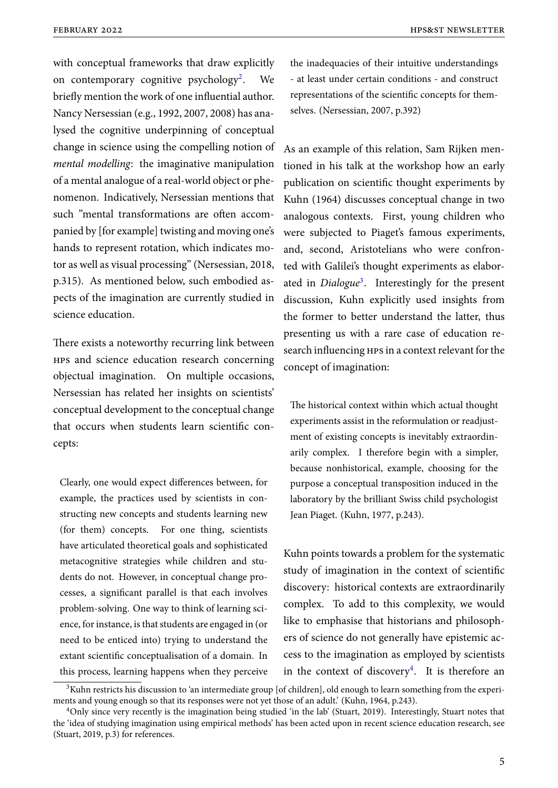with conceptual frameworks that draw explicitly on contemporary cognitive psychology<sup>2</sup>. . We briefly mention the work of one influential author. Nancy Nersessian (e.g., 1992, 2007, 2008) has analysed the cognitive underpinning of conceptual change in science using the compelling notion of *mental modelling*: the imaginative manipulation of a mental analogue of a real-world object or phenomenon. Indicatively, Nersessian mentions that such "mental transformations are often accompanied by [for example] twisting and moving one's hands to represent rotation, which indicates motor as well as visual processing" (Nersessian, 2018, p.315). As mentioned below, such embodied aspects of the imagination are currently studied in science education.

There exists a noteworthy recurring link between hps and science education research concerning objectual imagination. On multiple occasions, Nersessian has related her insights on scientists' conceptual development to the conceptual change that occurs when students learn scientific concepts:

Clearly, one would expect differences between, for example, the practices used by scientists in constructing new concepts and students learning new (for them) concepts. For one thing, scientists have articulated theoretical goals and sophisticated metacognitive strategies while children and students do not. However, in conceptual change processes, a significant parallel is that each involves problem-solving. One way to think of learning science, for instance, is that students are engaged in (or need to be enticed into) trying to understand the extant scientific conceptualisation of a domain. In this process, learning happens when they perceive the inadequacies of their intuitive understandings - at least under certain conditions - and construct representations of the scientific concepts for themselves. (Nersessian, 2007, p.392)

As an example of this relation, Sam Rijken mentioned in his talk at the workshop how an early publication on scientific thought experiments by Kuhn (1964) discusses conceptual change in two analogous contexts. First, young children who were subjected to Piaget's famous experiments, and, second, Aristotelians who were confronted with Galilei's thought experiments as elaborated in *Dialogue*<sup>3</sup> . Interestingly for the present discussion, Kuhn explicitly used insights from the former to better understand the latter, thus presenting us with a rare case of education research influencing hps in a context relevant for the concept of imagination:

The historical context within which actual thought experiments assist in the reformulation or readjustment of existing concepts is inevitably extraordinarily complex. I therefore begin with a simpler, because nonhistorical, example, choosing for the purpose a conceptual transposition induced in the laboratory by the brilliant Swiss child psychologist Jean Piaget. (Kuhn, 1977, p.243).

Kuhn points towards a problem for the systematic study of imagination in the context of scientific discovery: historical contexts are extraordinarily complex. To add to this complexity, we would like to emphasise that historians and philosophers of science do not generally have epistemic access to the imagination as employed by scientists in the context of discovery<sup>4</sup>. It is therefore an

<sup>&</sup>lt;sup>3</sup>Kuhn restricts his discussion to 'an intermediate group [of children], old enough to learn something from the experiments and young enough so that its responses were not yet those of an adult.' (Kuhn, 1964, p.243).

<sup>4</sup>Only since very recently is the imagination being studied 'in the lab' (Stuart, 2019). Interestingly, Stuart notes that the 'idea of studying imagination using empirical methods' has been acted upon in recent science education research, see (Stuart, 2019, p.3) for references.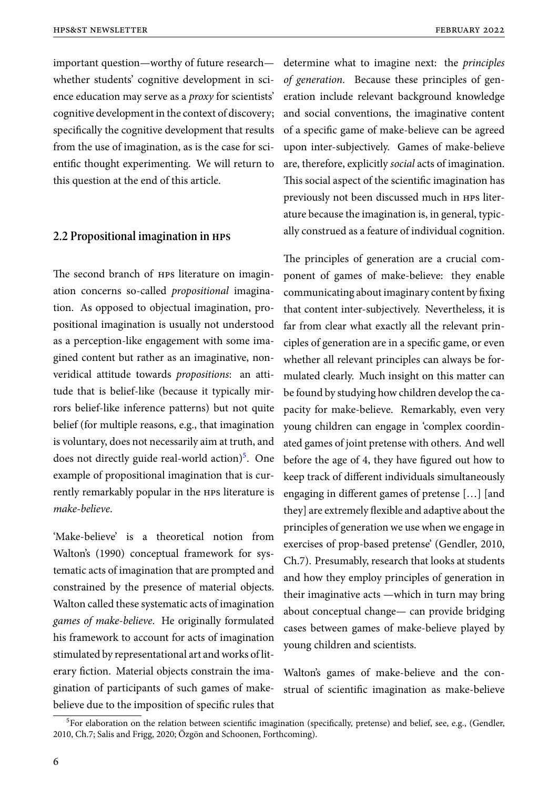important question—worthy of future research— determine what to imagine next: the *principles* whether students' cognitive development in science education may serve as a *proxy* for scientists' cognitive development in the context of discovery; specifically the cognitive development that results from the use of imagination, as is the case for scientific thought experimenting. We will return to this question at the end of this article.

#### **2.2 Propositional imagination in hps**

The second branch of hps literature on imagination concerns so-called *propositional* imagination. As opposed to objectual imagination, propositional imagination is usually not understood as a perception-like engagement with some imagined content but rather as an imaginative, nonveridical attitude towards *propositions*: an attitude that is belief-like (because it typically mirrors belief-like inference patterns) but not quite belief (for multiple reasons, e.g., that imagination is voluntary, does not necessarily aim at truth, and does not directly guide real-world action)<sup>5</sup>. One example of propositional imagination that is currently remarkably popular in the hps literature is *make-believe*.

'Make-believe' is a theoretical notion from Walton's (1990) conceptual framework for systematic acts of imagination that are prompted and constrained by the presence of material objects. Walton called these systematic acts of imagination *games of make-believe*. He originally formulated his framework to account for acts of imagination stimulated by representational art and works of literary fiction. Material objects constrain the imagination of participants of such games of makebelieve due to the imposition of specific rules that *of generation*. Because these principles of generation include relevant background knowledge and social conventions, the imaginative content of a specific game of make-believe can be agreed upon inter-subjectively. Games of make-believe are, therefore, explicitly *social* acts of imagination. This social aspect of the scientific imagination has previously not been discussed much in hps literature because the imagination is, in general, typically construed as a feature of individual cognition.

The principles of generation are a crucial component of games of make-believe: they enable communicating about imaginary content by fixing that content inter-subjectively. Nevertheless, it is far from clear what exactly all the relevant principles of generation are in a specific game, or even whether all relevant principles can always be formulated clearly. Much insight on this matter can be found by studying how children develop the capacity for make-believe. Remarkably, even very young children can engage in 'complex coordinated games of joint pretense with others. And well before the age of 4, they have figured out how to keep track of different individuals simultaneously engaging in different games of pretense […] [and they] are extremely flexible and adaptive about the principles of generation we use when we engage in exercises of prop‐based pretense' (Gendler, 2010, Ch.7). Presumably, research that looks at students and how they employ principles of generation in their imaginative acts —which in turn may bring about conceptual change— can provide bridging cases between games of make-believe played by young children and scientists.

Walton's games of make-believe and the construal of scientific imagination as make-believe

<sup>&</sup>lt;sup>5</sup>For elaboration on the relation between scientific imagination (specifically, pretense) and belief, see, e.g., (Gendler, 2010, Ch.7; Salis and Frigg, 2020; Özgön and Schoonen, Forthcoming).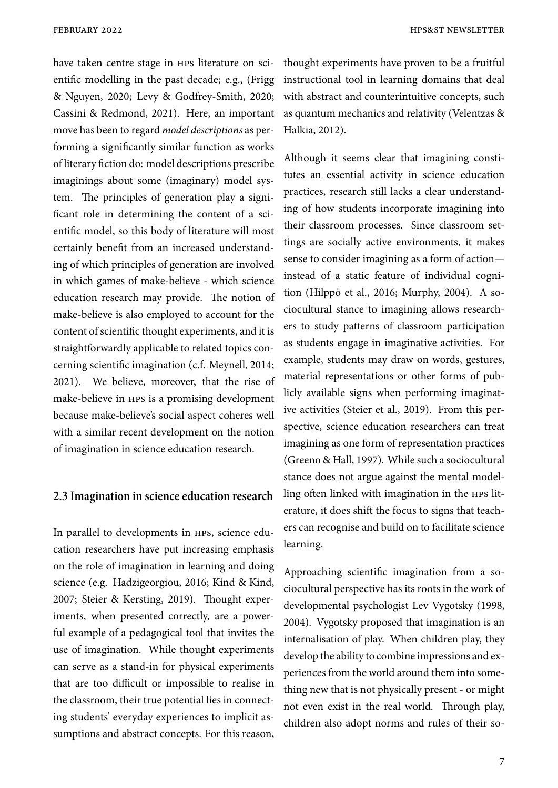have taken centre stage in hps literature on scientific modelling in the past decade; e.g., (Frigg & Nguyen, 2020; Levy & Godfrey-Smith, 2020; Cassini & Redmond, 2021). Here, an important move has been to regard *model descriptions* as performing a significantly similar function as works of literary fiction do: model descriptions prescribe imaginings about some (imaginary) model system. The principles of generation play a significant role in determining the content of a scientific model, so this body of literature will most certainly benefit from an increased understanding of which principles of generation are involved in which games of make-believe - which science education research may provide. The notion of make-believe is also employed to account for the content of scientific thought experiments, and it is straightforwardly applicable to related topics concerning scientific imagination (c.f. Meynell, 2014; 2021). We believe, moreover, that the rise of make-believe in hps is a promising development because make-believe's social aspect coheres well with a similar recent development on the notion of imagination in science education research.

### **2.3 Imagination in science education research**

In parallel to developments in HPS, science education researchers have put increasing emphasis on the role of imagination in learning and doing science (e.g. Hadzigeorgiou, 2016; Kind & Kind, 2007; Steier & Kersting, 2019). Thought experiments, when presented correctly, are a powerful example of a pedagogical tool that invites the use of imagination. While thought experiments can serve as a stand-in for physical experiments that are too difficult or impossible to realise in the classroom, their true potential lies in connecting students' everyday experiences to implicit assumptions and abstract concepts. For this reason,

thought experiments have proven to be a fruitful instructional tool in learning domains that deal with abstract and counterintuitive concepts, such as quantum mechanics and relativity (Velentzas & Halkia, 2012).

Although it seems clear that imagining constitutes an essential activity in science education practices, research still lacks a clear understanding of how students incorporate imagining into their classroom processes. Since classroom settings are socially active environments, it makes sense to consider imagining as a form of action instead of a static feature of individual cognition (Hilppö et al., 2016; Murphy, 2004). A sociocultural stance to imagining allows researchers to study patterns of classroom participation as students engage in imaginative activities. For example, students may draw on words, gestures, material representations or other forms of publicly available signs when performing imaginative activities (Steier et al., 2019). From this perspective, science education researchers can treat imagining as one form of representation practices (Greeno & Hall, 1997). While such a sociocultural stance does not argue against the mental modelling often linked with imagination in the HPS literature, it does shift the focus to signs that teachers can recognise and build on to facilitate science learning.

Approaching scientific imagination from a sociocultural perspective has its roots in the work of developmental psychologist Lev Vygotsky (1998, 2004). Vygotsky proposed that imagination is an internalisation of play. When children play, they develop the ability to combine impressions and experiences from the world around them into something new that is not physically present - or might not even exist in the real world. Through play, children also adopt norms and rules of their so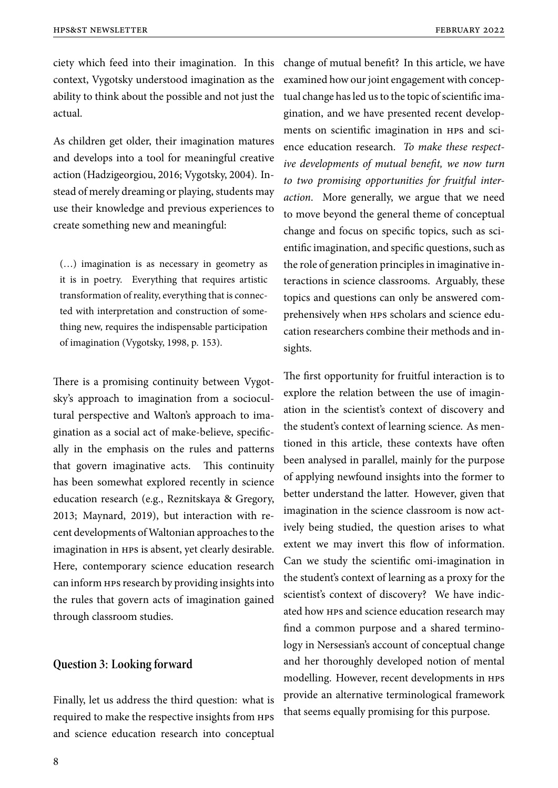ciety which feed into their imagination. In this context, Vygotsky understood imagination as the ability to think about the possible and not just the actual.

As children get older, their imagination matures and develops into a tool for meaningful creative action (Hadzigeorgiou, 2016; Vygotsky, 2004). Instead of merely dreaming or playing, students may use their knowledge and previous experiences to create something new and meaningful:

(…) imagination is as necessary in geometry as it is in poetry. Everything that requires artistic transformation of reality, everything that is connected with interpretation and construction of something new, requires the indispensable participation of imagination (Vygotsky, 1998, p. 153).

There is a promising continuity between Vygotsky's approach to imagination from a sociocultural perspective and Walton's approach to imagination as a social act of make-believe, specifically in the emphasis on the rules and patterns that govern imaginative acts. This continuity has been somewhat explored recently in science education research (e.g., Reznitskaya & Gregory, 2013; Maynard, 2019), but interaction with recent developments of Waltonian approaches to the imagination in hps is absent, yet clearly desirable. Here, contemporary science education research can inform hps research by providing insights into the rules that govern acts of imagination gained through classroom studies.

#### **Question 3: Looking forward**

Finally, let us address the third question: what is required to make the respective insights from hps and science education research into conceptual

change of mutual benefit? In this article, we have examined how our joint engagement with conceptual change has led us to the topic of scientific imagination, and we have presented recent developments on scientific imagination in hps and science education research. *To make these respective developments of mutual benefit, we now turn to two promising opportunities for fruitful interaction*. More generally, we argue that we need to move beyond the general theme of conceptual change and focus on specific topics, such as scientific imagination, and specific questions, such as the role of generation principles in imaginative interactions in science classrooms. Arguably, these topics and questions can only be answered comprehensively when HPS scholars and science education researchers combine their methods and insights.

The first opportunity for fruitful interaction is to explore the relation between the use of imagination in the scientist's context of discovery and the student's context of learning science. As mentioned in this article, these contexts have often been analysed in parallel, mainly for the purpose of applying newfound insights into the former to better understand the latter. However, given that imagination in the science classroom is now actively being studied, the question arises to what extent we may invert this flow of information. Can we study the scientific omi-imagination in the student's context of learning as a proxy for the scientist's context of discovery? We have indicated how hps and science education research may find a common purpose and a shared terminology in Nersessian's account of conceptual change and her thoroughly developed notion of mental modelling. However, recent developments in hps provide an alternative terminological framework that seems equally promising for this purpose.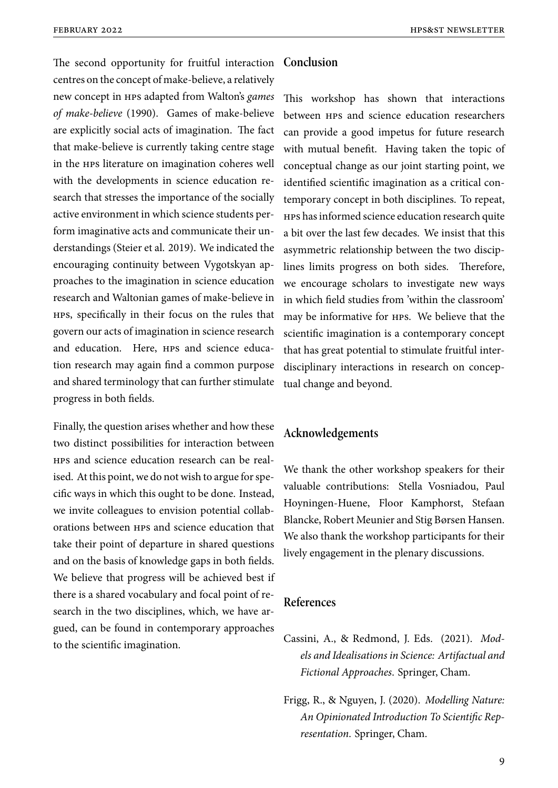The second opportunity for fruitful interaction centres on the concept of make-believe, a relatively new concept in hps adapted from Walton's *games of make-believe* (1990). Games of make-believe are explicitly social acts of imagination. The fact that make-believe is currently taking centre stage in the hps literature on imagination coheres well with the developments in science education research that stresses the importance of the socially active environment in which science students perform imaginative acts and communicate their understandings (Steier et al. 2019). We indicated the encouraging continuity between Vygotskyan approaches to the imagination in science education research and Waltonian games of make-believe in hps, specifically in their focus on the rules that govern our acts of imagination in science research and education. Here, HPS and science education research may again find a common purpose and shared terminology that can further stimulate progress in both fields.

Finally, the question arises whether and how these two distinct possibilities for interaction between hps and science education research can be realised. At this point, we do not wish to argue for specific ways in which this ought to be done. Instead, we invite colleagues to envision potential collaborations between hps and science education that take their point of departure in shared questions and on the basis of knowledge gaps in both fields. We believe that progress will be achieved best if there is a shared vocabulary and focal point of research in the two disciplines, which, we have argued, can be found in contemporary approaches to the scientific imagination.

#### **Conclusion**

This workshop has shown that interactions between hps and science education researchers can provide a good impetus for future research with mutual benefit. Having taken the topic of conceptual change as our joint starting point, we identified scientific imagination as a critical contemporary concept in both disciplines. To repeat, hps has informed science education research quite a bit over the last few decades. We insist that this asymmetric relationship between the two disciplines limits progress on both sides. Therefore, we encourage scholars to investigate new ways in which field studies from 'within the classroom' may be informative for hps. We believe that the scientific imagination is a contemporary concept that has great potential to stimulate fruitful interdisciplinary interactions in research on conceptual change and beyond.

### **Acknowledgements**

We thank the other workshop speakers for their valuable contributions: Stella Vosniadou, Paul Hoyningen-Huene, Floor Kamphorst, Stefaan Blancke, Robert Meunier and Stig Børsen Hansen. We also thank the workshop participants for their lively engagement in the plenary discussions.

#### **References**

- Cassini, A., & Redmond, J. Eds. (2021). *Models and Idealisations in Science: Artifactual and Fictional Approaches*. Springer, Cham.
- Frigg, R., & Nguyen, J. (2020). *Modelling Nature: An Opinionated Introduction To Scientific Representation*. Springer, Cham.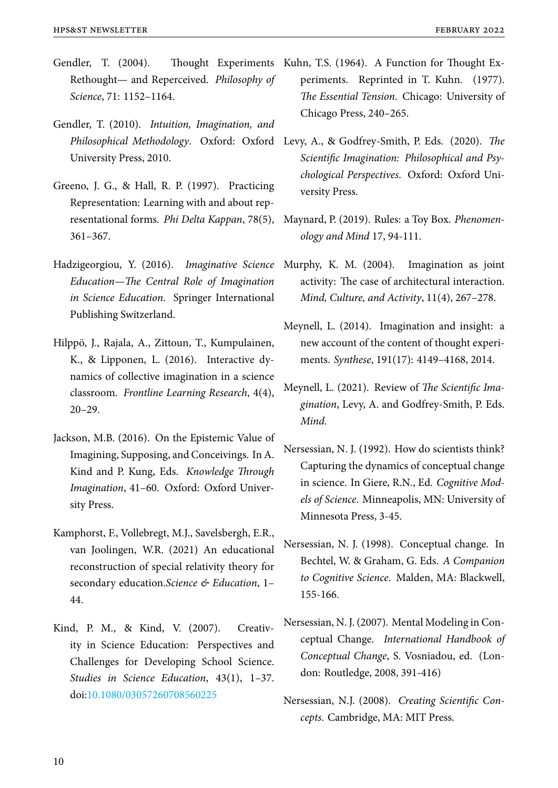- Gendler, T. (2004). Thought Experiments Kuhn, T.S. (1964). A Function for Thought Ex-Rethought— and Reperceived. *Philosophy of Science*, 71: 1152–1164.
- Gendler, T. (2010). *Intuition, Imagination, and* University Press, 2010.
- Greeno, J. G., & Hall, R. P. (1997). Practicing Representation: Learning with and about representational forms. *Phi Delta Kappan*, 78(5), 361–367.
- Hadzigeorgiou, Y. (2016). *Imaginative Science Education—The Central Role of Imagination in Science Education*. Springer International Publishing Switzerland.
- Hilppö, J., Rajala, A., Zittoun, T., Kumpulainen, K., & Lipponen, L. (2016). Interactive dynamics of collective imagination in a science classroom. *Frontline Learning Research*, 4(4), 20–29.
- Jackson, M.B. (2016). On the Epistemic Value of Imagining, Supposing, and Conceivings. In A. Kind and P. Kung, Eds. *Knowledge Through Imagination*, 41–60. Oxford: Oxford University Press.
- Kamphorst, F., Vollebregt, M.J., Savelsbergh, E.R., van Joolingen, W.R. (2021) An educational reconstruction of special relativity theory for secondary education.*Science & Education*, 1– 44.
- Kind, P. M., & Kind, V. (2007). Creativity in Science Education: Perspectives and Challenges for Developing School Science. *Studies in Science Education*, 43(1), 1–37. doi:10.1080/03057260708560225
- periments. Reprinted in T. Kuhn. (1977). *The Essential Tension*. Chicago: University of Chicago Press, 240–265.
- *Philosophical Methodology*. Oxford: Oxford Levy, A., & Godfrey-Smith, P. Eds. (2020). *The Scientific Imagination: Philosophical and Psychological Perspectives*. Oxford: Oxford University Press.
	- Maynard, P. (2019). Rules: a Toy Box. *Phenomenology and Mind* 17, 94-111.
	- Murphy, K. M. (2004). Imagination as joint activity: The case of architectural interaction. *Mind, Culture, and Activity*, 11(4), 267–278.
	- Meynell, L. (2014). Imagination and insight: a new account of the content of thought experiments. *Synthese*, 191(17): 4149–4168, 2014.
	- Meynell, L. (2021). Review of *The Scientific Imagination*, Levy, A. and Godfrey-Smith, P. Eds. *Mind*.
	- Nersessian, N. J. (1992). How do scientists think? Capturing the dynamics of conceptual change in science. In Giere, R.N., Ed. *Cognitive Models of Science*. Minneapolis, MN: University of Minnesota Press, 3-45.
	- Nersessian, N. J. (1998). Conceptual change. In Bechtel, W. & Graham, G. Eds. *A Companion to Cognitive Science*. Malden, MA: Blackwell, 155-166.
	- Nersessian, N. J. (2007). Mental Modeling in Conceptual Change. *International Handbook of Conceptual Change*, S. Vosniadou, ed. (London: Routledge, 2008, 391-416)
	- Nersessian, N.J. (2008). *Creating Scientific Concepts*. Cambridge, MA: MIT Press.